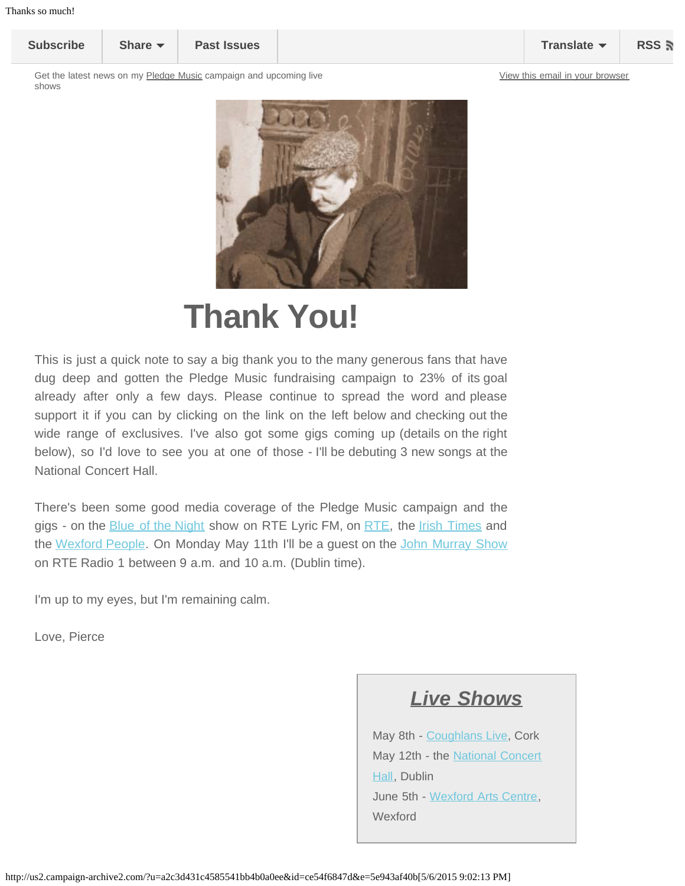<span id="page-0-0"></span>**[Subscribe](http://eepurl.com/fNok6) [Share](#page-0-0) [Past Issues](http://us2.campaign-archive2.com/home/?u=a2c3d431c4585541bb4b0a0ee&id=1e5eabf01d) [Translate](#page-0-0) [RSS](http://us2.campaign-archive2.com/feed?u=a2c3d431c4585541bb4b0a0ee&id=1e5eabf01d)**

Get the latest news on my [Pledge Music](http://www.pledgemusic.com/projects/pierceturner2015) campaign and upcoming live shows



## **Thank You!**

This is just a quick note to say a big thank you to the many generous fans that have dug deep and gotten the Pledge Music fundraising campaign to 23% of its goal already after only a few days. Please continue to spread the word and please support it if you can by clicking on the link on the left below and checking out the wide range of exclusives. I've also got some gigs coming up (details on the right below), so I'd love to see you at one of those - I'll be debuting 3 new songs at the National Concert Hall.

There's been some good media coverage of the Pledge Music campaign and the gigs - on the **[Blue of the Night](http://www.rte.ie/lyricfm/the-blue-of-the-night-with-carl-corcoran/) show on RTE Lyric FM**, on [RTE,](http://www.rte.ie/ten/news/2015/0506/699112-ny-based-musician-pierce-turner-plays-four-dates/) the *Irish Times* and the [Wexford People.](http://www.wexfordpeople.ie/news/pierce-turner-radio-date-nch-show-and-new-album-pledge-campaign-31199516.html) On Monday May 11th I'll be a guest on the [John Murray Show](http://www.rte.ie/radio1/the-john-murray-show/) on RTE Radio 1 between 9 a.m. and 10 a.m. (Dublin time).

I'm up to my eyes, but I'm remaining calm.

Love, Pierce

## *Live Shows*

May 8th - [Coughlans Live](http://www.coughlans.ie/whats-on/?showID=11000564), Cork May 12th - the [National Concert](https://www.nch.ie/Online/Pierce-Turner-12May15) [Hall](https://www.nch.ie/Online/Pierce-Turner-12May15), Dublin June 5th - [Wexford Arts Centre,](https://wexfordartscentre.ticketsolve.com/#/shows/873531060) Wexford